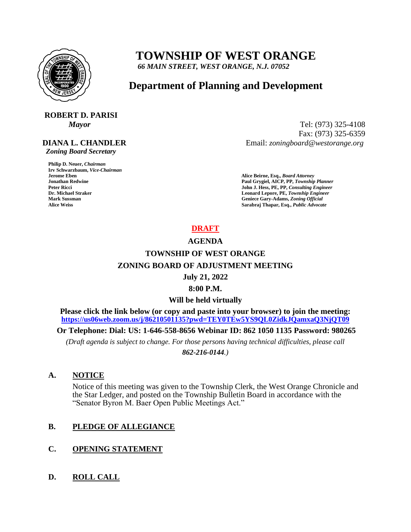

# **TOWNSHIP OF WEST ORANGE**

 *66 MAIN STREET, WEST ORANGE, N.J. 07052*

# **Department of Planning and Development**

# **ROBERT D. PARISI**

#### **DIANA L. CHANDLER**

 *Zoning Board Secretary*

**Philip D. Neuer,** *Chairman*  **Irv Schwarzbaum,** *Vice-Chairman*  **Jerome Eben****Alice Beirne, Esq.,** *Board Attorney* 

*Mayor* Tel: (973) 325-4108 Fax: (973) 325-6359 Email: *zoningboard@westorange.org*

**Jonathan Redwine Paul Grygiel, AICP, PP,** *Township Planner*  **Peter Ricci John J. Hess, PE, PP,** *Consulting Engineer*  **Dr. Michael Straker Leonard Lepore, PE,** *Township Engineer*  **Mark Sussman Geniece Gary-Adams,** *Zoning Official* **Alice Weiss Sarabraj Thapar, Esq.,** *Public Advocate*

#### **DRAFT**

#### **AGENDA**

## **TOWNSHIP OF WEST ORANGE ZONING BOARD OF ADJUSTMENT MEETING**

#### **July 21, 2022**

#### **8:00 P.M.**

#### **Will be held virtually**

**Please click the link below (or copy and paste into your browser) to join the meeting: <https://us06web.zoom.us/j/86210501135?pwd=TEY0TEw5YS9QL0ZidkJQamxaQ3NjQT09>**

**Or Telephone: Dial: US: 1-646-558-8656 Webinar ID: 862 1050 1135 Password: 980265**

*(Draft agenda is subject to change. For those persons having technical difficulties, please call* 

*862-216-0144.)*

#### **A. NOTICE**

Notice of this meeting was given to the Township Clerk, the West Orange Chronicle and the Star Ledger, and posted on the Township Bulletin Board in accordance with the "Senator Byron M. Baer Open Public Meetings Act."

#### **B. PLEDGE OF ALLEGIANCE**

#### **C. OPENING STATEMENT**

#### **D. ROLL CALL**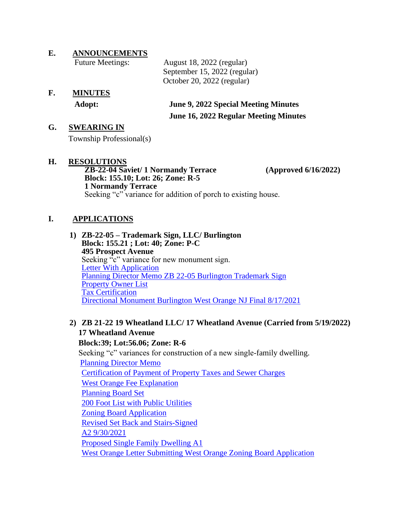**E. ANNOUNCEMENTS**

| <b>Future Meetings:</b> | August 18, 2022 (regular)    |
|-------------------------|------------------------------|
|                         | September 15, 2022 (regular) |
|                         | October 20, 2022 (regular)   |

**F. MINUTES**

 **Adopt: June 9, 2022 Special Meeting Minutes June 16, 2022 Regular Meeting Minutes** 

#### **G. SWEARING IN**

Township Professional(s)

### **H. RESOLUTIONS**

**ZB-22-04 Saviet/ 1 Normandy Terrace (Approved 6/16/2022) Block: 155.10; Lot: 26; Zone: R-5 1 Normandy Terrace** Seeking "c" variance for addition of porch to existing house.

#### **I. APPLICATIONS**

**1) ZB-22-05 – Trademark Sign, LLC/ Burlington Block: 155.21 ; Lot: 40; Zone: P-C 495 Prospect Avenue**  Seeking "c" variance for new monument sign. [Letter With Application](https://www.westorange.org/DocumentCenter/View/9603/Letter-with-Application-45202) [Planning Director Memo ZB 22-05 Burlington Trademark Sign](https://www.westorange.org/DocumentCenter/View/9604/Plg-Dir-Memo-ZB-22-05---Burlington-Trademark-Sign) [Property Owner List](https://www.westorange.org/DocumentCenter/View/9605/Property-Owner-List) [Tax Certification](https://www.westorange.org/DocumentCenter/View/9606/Tax-Certification) [Directional Monument Burlington West Orange NJ Final 8/17/2021](https://www.westorange.org/DocumentCenter/View/9824/Directional-Monument-Burlington-West-Orange-NJ-Final-8-17-21)

#### **2) ZB 21-22 19 Wheatland LLC/ 17 Wheatland Avenue (Carried from 5/19/2022) 17 Wheatland Avenue Block:39; Lot:56.06; Zone: R-6** Seeking "c" variances for construction of a new single-family dwelling. [Planning Director Memo](https://www.westorange.org/DocumentCenter/View/9063/Plg-Dir-Memo---ZB-21-22---19-Wheatland) [Certification of Payment of Property Taxes and Sewer Charges](https://www.westorange.org/DocumentCenter/View/9074/ZB21-22-19-Wheatland-Developme21-10-29-Rodas-West-Orange-Certification-of-Payment-of-Property-Taxes) [West Orange Fee Explanation](https://www.westorange.org/DocumentCenter/View/9075/ZB21-22-19-Wheatland-Development-LLC-21-10-21-Rodas-West-Orange-Fee-Explanation) [Planning Board Set](https://www.westorange.org/DocumentCenter/View/9076/ZB21-22-19-Wheatland-Development-LLC-PB-set-93021) [200 Foot List with Public Utilities](https://www.westorange.org/DocumentCenter/View/9077/ZB21-22-19-Wheatland-Development-LLC-21-10-25-Rodas-West-Orange-200-Foot-list-with-public-utilities) [Zoning Board Application](https://www.westorange.org/DocumentCenter/View/9078/ZB21-22-19-Wheatland-Development-LLC-21-10-27-Rodas-West-Orange-Zoning-Board-Application-exe) [Revised Set Back and Stairs-Signed](https://www.westorange.org/DocumentCenter/View/9079/ZB21-22-19-Wheatland-Development-LLC-2021-10-05---Petry-Eng---Revised-Setback-and-Stairs---Signed) [A2 9/30/2021](https://www.westorange.org/DocumentCenter/View/9080/ZB21-22-19-Wheatland-Development-LLCA2-93021) [Proposed Single Family Dwelling A1](https://www.westorange.org/DocumentCenter/View/9081/ZB21-22-19-Wheatland-Development-LLC-Proposed-Single-Family-Dwelling-A1-93021) [West Orange Letter Submitting West Orange Zoning Board Application](https://www.westorange.org/DocumentCenter/View/9082/ZB21-22-19-Wheatland-D-Rodas-West-Orange-Ltr-submitting-West-Orange-Zoning-Board-application)